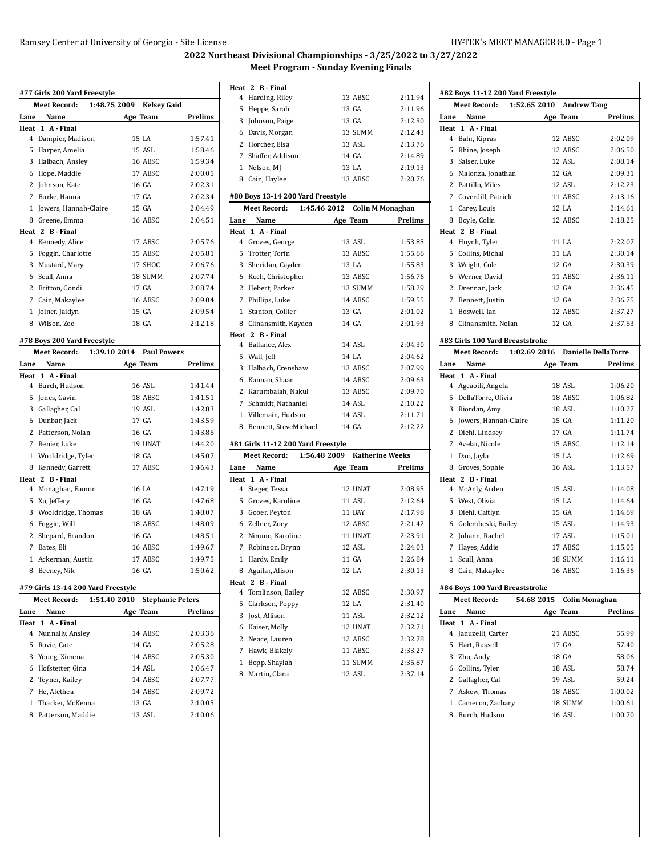#### Ramsey Center at University of Georgia - Site License HY-TEK's MEET MANAGER 8.0 - Page 1

**Meet Record: 1:52.65 2010 Andrew Tang**

**#82 Boys 11-12 200 Yard Freestyle**

# **2022 Northeast Divisional Championships - 3/25/2022 to 3/27/2022 Meet Program - Sunday Evening Finals**

|                             | #77 Girls 200 Yard Freestyle |                                    |                |  |
|-----------------------------|------------------------------|------------------------------------|----------------|--|
|                             | Meet Record:                 | 1:48.75 2009<br><b>Kelsey Gaid</b> |                |  |
| Lane                        | Name                         | Age Team                           | Prelims        |  |
| Heat                        | 1 A - Final                  |                                    |                |  |
|                             | 4 Dampier, Madison           | 15 LA                              | 1:57.41        |  |
|                             | 5 Harper, Amelia             | 15 ASL                             | 1:58.46        |  |
|                             | 3 Halbach, Ansley            | 16 ABSC                            | 1:59.34        |  |
|                             | 6 Hope, Maddie               | 17 ABSC                            | 2:00.05        |  |
|                             | 2 Johnson, Kate              | 16 GA                              | 2:02.31        |  |
|                             | 7 Burke, Hanna               | 17 GA                              | 2:02.34        |  |
|                             | 1 Jowers, Hannah-Claire      | 15 GA                              | 2:04.49        |  |
|                             | 8 Greene, Emma               | 16 ABSC                            | 2:04.51        |  |
|                             | Heat 2 B Final               |                                    |                |  |
|                             | 4 Kennedy, Alice             | 17 ABSC                            | 2:05.76        |  |
|                             | 5 Foggin, Charlotte          | 15 ABSC                            | 2:05.81        |  |
|                             | 3 Mustard, Mary              | 17 SHOC                            | 2:06.76        |  |
|                             | 6 Scull, Anna                | 18 SUMM                            | 2:07.74        |  |
|                             | 2 Britton, Condi             | 17 GA                              | 2:08.74        |  |
|                             | 7 Cain, Makaylee             | 16 ABSC                            | 2:09.04        |  |
|                             | 1 Joiner, Jaidyn             | 15 GA                              | 2:09.54        |  |
|                             | 8 Wilson, Zoe                | 18 GA                              | 2:12.18        |  |
|                             |                              |                                    |                |  |
| #78 Boys 200 Yard Freestyle |                              |                                    |                |  |
|                             | Meet Record:                 | 1:39.10 2014<br><b>Paul Powers</b> |                |  |
|                             | Name                         | Age Team                           | <b>Prelims</b> |  |
| Lane                        | Heat 1 A-Final               |                                    |                |  |
|                             | 4 Burch, Hudson              | 16 ASL                             | 1:41.44        |  |
|                             | 5 Jones, Gavin               | 18 ABSC                            | 1:41.51        |  |
|                             | 3 Gallagher, Cal             | 19 ASL                             | 1:42.83        |  |
|                             | 6 Dunbar, Jack               | 17 GA                              | 1:43.59        |  |
|                             | 2 Patterson, Nolan           | 16 GA                              | 1:43.86        |  |
|                             | 7 Renier, Luke               | 19 UNAT                            | 1:44.20        |  |
|                             | 1 Wooldridge, Tyler          | 18 GA                              | 1:45.07        |  |
|                             | 8 Kennedy, Garrett           | 17 ABSC                            | 1:46.43        |  |
|                             | Heat 2 B Final               |                                    |                |  |
|                             | 4 Monaghan, Eamon            | 16 LA                              | 1:47.19        |  |
|                             | 5 Xu, Jeffery                | 16 GA                              | 1:47.68        |  |
|                             | 3 Wooldridge, Thomas         | 18 GA                              | 1:48.07        |  |
|                             | 6 Foggin, Will               | 18 ABSC                            | 1:48.09        |  |
|                             | 2 Shepard, Brandon           | 16 GA                              | 1:48.51        |  |
|                             | 7 Bates, Eli                 | 16 ABSC                            | 1:49.67        |  |
|                             | 1 Ackerman, Austin           | 17 ABSC                            | 1:49.75        |  |
|                             | 8 Beeney, Nik                | 16 GA                              | 1:50.62        |  |

|      | <b>Meet Record:</b> | 1:51.40 2010 | <b>Stephanie Peters</b> |                |
|------|---------------------|--------------|-------------------------|----------------|
| Lane | Name                |              | Age Team                | <b>Prelims</b> |
|      | Heat 1 A Final      |              |                         |                |
|      | 4 Nunnally, Ansley  |              | 14 ABSC                 | 2:03.36        |
|      | 5 Rovie, Cate       |              | 14 GA                   | 2:05.28        |
|      | 3 Young, Ximena     |              | 14 ABSC                 | 2:05.30        |
|      | 6 Hofstetter, Gina  |              | 14 ASL                  | 2:06.47        |
|      | 2 Teyner, Kailey    |              | 14 ABSC                 | 2:07.77        |
|      | He, Alethea         |              | 14 ABSC                 | 2:09.72        |
|      | 1 Thacker. McKenna  |              | 13 GA                   | 2:10.05        |
| 8    | Patterson, Maddie   |              | 13 ASL                  | 2:10.06        |
|      |                     |              |                         |                |

### **Heat 2 B - Final** Harding, Riley 13 ABSC 2:11.94 Heppe, Sarah 13 GA 2:11.96 Johnson, Paige 13 GA 2:12.30 Davis, Morgan 13 SUMM 2:12.43 Horcher, Elsa 13 ASL 2:13.76 Shaffer, Addison 14 GA 2:14.89 1 Nelson, MJ 13 LA 2:19.13 Cain, Haylee 13 ABSC 2:20.76 **#80 Boys 13-14 200 Yard Freestyle Meet Record: 1:45.46 2012 Colin M Monaghan Lane Name Age Team Prelims Heat 1 A - Final** Groves, George 13 ASL 1:53.85 Trotter, Torin 13 ABSC 1:55.66 Sheridan, Cayden 13 LA 1:55.83 Koch, Christopher 13 ABSC 1:56.76 2 Hebert, Parker 13 SUMM 1:58.29 Phillips, Luke 14 ABSC 1:59.55 Stanton, Collier 13 GA 2:01.02 Clinansmith, Kayden 14 GA 2:01.93 **Heat 2 B - Final** Ballance, Alex 14 ASL 2:04.30 Wall, Jeff 14 LA 2:04.62 Halbach, Crenshaw 13 ABSC 2:07.99 Kannan, Shaan 14 ABSC 2:09.63 2 Karumbaiah, Nakul 13 ABSC 2:09.70 Schmidt, Nathaniel 14 ASL 2:10.22 Villemain, Hudson 14 ASL 2:11.71 Bennett, SteveMichael 14 GA 2:12.22 **#81 Girls 11-12 200 Yard Freestyle Meet Record: 1:56.48 2009 Katherine Weeks Lane Name Age Team Prelims Heat 1 A - Final** Steger, Tessa 12 UNAT 2:08.95 Groves, Karoline 11 ASL 2:12.64 Gober, Peyton 11 BAY 2:17.98

| 3 Gober, Peyton     | 11 BAY  | 2:17.98 |
|---------------------|---------|---------|
| 6 Zellner, Zoev     | 12 ABSC | 2:21.42 |
| 2 Nimmo, Karoline   | 11 UNAT | 2:23.91 |
| 7 Robinson, Brynn   | 12 ASL  | 2:24.03 |
| 1 Hardy, Emily      | 11 GA   | 2:26.84 |
| 8 Aguilar, Alison   | 12 LA   | 2:30.13 |
| eat 2 B Final       |         |         |
| 4 Tomlinson, Bailey | 12 ABSC | 2:30.97 |
| 5 Clarkson, Poppy   | 12 LA   | 2:31.40 |
| 3 Jost, Allison     | 11 ASL  | 2:32.12 |
| 6 Kaiser, Molly     | 12 UNAT | 2:32.71 |
| 2 Neace, Lauren     | 12 ABSC | 2:32.78 |
| 7 Hawk, Blakely     | 11 ABSC | 2:33.27 |
| 1 Bopp, Shaylah     | 11 SUMM | 2:35.87 |

Martin, Clara 12 ASL 2:37.14

**Heat** 

| Lane | Name                            | Age Team                   | Prelims |
|------|---------------------------------|----------------------------|---------|
|      | Heat 1 A - Final                |                            |         |
|      | 4 Bahr, Kipras                  | 12 ABSC                    | 2:02.09 |
|      | 5 Rhine, Joseph                 | 12 ABSC                    | 2:06.50 |
|      | 3 Salser, Luke                  | 12 ASL                     | 2:08.14 |
|      | 6 Malonza, Jonathan             | 12 GA                      | 2:09.31 |
|      | 2 Pattillo, Miles               | 12 ASL                     | 2:12.23 |
|      | 7 Coverdill, Patrick            | 11 ABSC                    | 2:13.16 |
|      | 1 Carey, Louis                  | 12 LA                      | 2:14.61 |
|      | 8 Boyle, Colin                  | 12 ABSC                    | 2:18.25 |
|      | Heat 2 B - Final                |                            |         |
|      | 4 Huynh, Tyler                  | 11 LA                      | 2:22.07 |
|      | 5 Collins, Michal               | 11 LA                      | 2:30.14 |
|      | 3 Wright, Cole                  | 12 GA                      | 2:30.39 |
|      | 6 Werner, David                 | 11 ABSC                    | 2:36.11 |
|      | 2 Drennan, Jack                 | 12 GA                      | 2:36.45 |
|      | 7 Bennett, Justin               | 12 GA                      | 2:36.75 |
|      | 1 Boswell, Ian                  | 12 ABSC                    | 2:37.27 |
|      | 8 Clinansmith, Nolan            | 12 GA                      | 2:37.63 |
|      |                                 |                            |         |
|      | #83 Girls 100 Yard Breaststroke |                            |         |
|      | 1:02.69 2016<br>Meet Record:    | <b>Danielle DellaTorre</b> |         |
|      | Lane Name                       | Age Team                   | Prelims |
|      | Heat 1 A - Final                |                            |         |
|      | 4 Agcaoili, Angela              | 18 ASL                     | 1:06.20 |
|      | 5 DellaTorre, Olivia            | 18 ABSC                    | 1:06.82 |
|      | 3 Riordan, Amy                  | 18 ASL                     | 1:10.27 |
|      | 6 Jowers, Hannah-Claire         | 15 GA                      | 1:11.20 |
|      | 2 Diehl, Lindsey                | 17 GA                      | 1:11.74 |
|      | 7 Avelar, Nicole                | 15 ABSC                    | 1:12.14 |
|      | 1 Dao, Jayla                    | 15 LA                      | 1:12.69 |
|      | 8 Groves, Sophie                | 16 ASL                     | 1:13.57 |
|      | Heat 2 B - Final                |                            |         |
|      | 4 McAnly, Arden                 | 15 ASL                     | 1:14.08 |
|      | 5 West, Olivia                  | 15 LA                      | 1:14.64 |
|      | 3 Diehl, Caitlyn                | 15 GA                      | 1:14.69 |
|      | 6 Golembeski, Bailey            | 15 ASL                     | 1:14.93 |
|      | 2 Johann, Rachel                | 17 ASL                     | 1:15.01 |
|      | 7 Hayes, Addie                  | 17 ABSC                    | 1:15.05 |
|      | 1 Scull, Anna                   | 18 SUMM                    | 1:16.11 |
|      | 8 Cain, Makaylee                | 16 ABSC                    | 1:16.36 |
|      |                                 |                            |         |
|      | #84 Boys 100 Yard Breaststroke  |                            |         |
|      | <b>Meet Record:</b>             | 54.68 2015 Colin Monaghan  |         |
| Lane | Name                            | Age Team                   | Prelims |
| Heat | 1 A - Final                     |                            |         |
|      | 4 Januzelli, Carter             | 21 ABSC                    | 55.99   |
|      | 5 Hart, Russell                 | 17 GA                      | 57.40   |
|      | 3 Zhu, Andy                     | 18 GA                      | 58.06   |
|      | 6 Collins, Tyler                | 18 ASL                     | 58.74   |
|      | 2 Gallagher, Cal                | 19 ASL                     | 59.24   |
|      | 7 Askew Thomas                  | 18 ABSC                    | 1:00.02 |

 Cameron, Zachary 18 SUMM 1:00.61 Burch, Hudson 16 ASL 1:00.70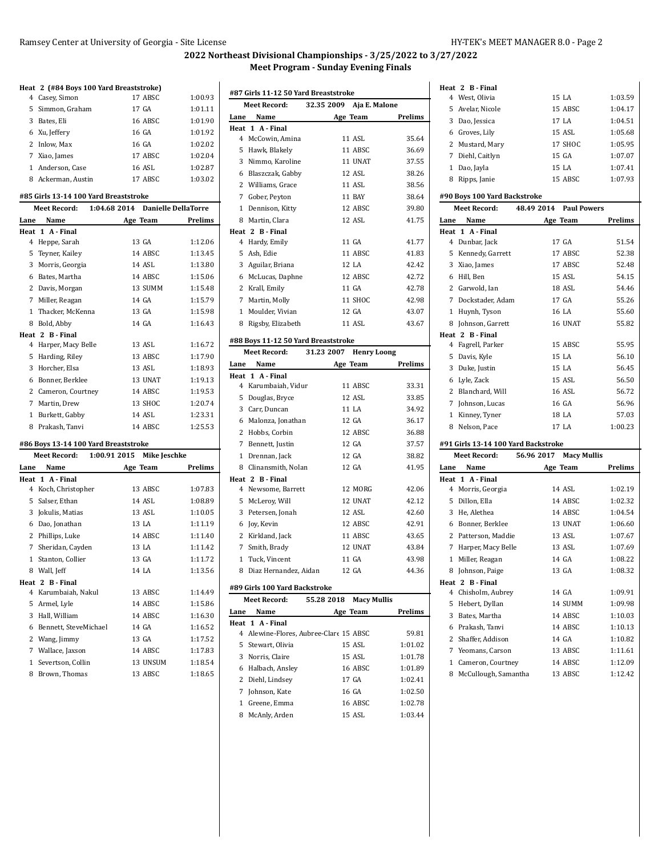## **2022 Northeast Divisional Championships - 3/25/2022 to 3/27/2022 Meet Program - Sunday Evening Finals**

|                |                      | Heat 2 (#84 Boys 100 Yard Breaststroke) |         |         |
|----------------|----------------------|-----------------------------------------|---------|---------|
|                | 4 Casey, Simon       |                                         | 17 ABSC | 1:00.93 |
| 5              | Simmon, Graham       |                                         | 17 GA   | 1:01.11 |
|                | 3 Bates, Eli         |                                         | 16 ABSC | 1:01.90 |
|                | 6 Xu, Jeffery        |                                         | 16 GA   | 1:01.92 |
|                | 2 Inlow, Max         |                                         | 16 GA   | 1:02.02 |
|                | 7 Xiao, James        |                                         | 17 ABSC | 1:02.04 |
|                | 1 Anderson, Case     |                                         | 16 ASL  | 1:02.87 |
|                | 8 Ackerman, Austin   |                                         | 17 ABSC | 1:03.02 |
|                |                      | #85 Girls 13-14 100 Yard Breaststroke   |         |         |
|                | Meet Record:         | 1:04.68 2014 Danielle DellaTorre        |         |         |
| Lane           | Name                 | Age Team                                |         | Prelims |
|                | Heat 1 A - Final     |                                         |         |         |
| 4              | Heppe, Sarah         |                                         | 13 GA   | 1:12.06 |
| 5              | Teyner, Kailey       |                                         | 14 ABSC | 1:13.45 |
| $\mathbf{3}$   | Morris, Georgia      |                                         | 14 ASL  | 1:13.80 |
| 6              | Bates, Martha        |                                         | 14 ABSC | 1:15.06 |
| $\overline{2}$ | Davis, Morgan        |                                         | 13 SUMM | 1:15.48 |
|                | 7 Miller, Reagan     |                                         | 14 GA   | 1:15.79 |
| $\mathbf{1}$   | Thacker, McKenna     |                                         | 13 GA   | 1:15.98 |
|                | 8 Bold, Abby         |                                         | 14 GA   | 1:16.43 |
|                | Heat 2 B - Final     |                                         |         |         |
|                | 4 Harper, Macy Belle |                                         | 13 ASL  | 1:16.72 |
| 5              | Harding, Riley       |                                         | 13 ABSC | 1:17.90 |
|                | 3 Horcher, Elsa      |                                         | 13 ASL  | 1:18.93 |
| 6              | Bonner, Berklee      |                                         | 13 UNAT | 1:19.13 |
|                | 2 Cameron, Courtney  |                                         | 14 ABSC | 1:19.53 |
|                | 7 Martin, Drew       |                                         | 13 SHOC | 1:20.74 |
|                | 1 Burkett, Gabby     |                                         | 14 ASL  | 1:23.31 |
|                | 8 Prakash, Tanvi     |                                         | 14 ABSC | 1:25.53 |
|                |                      | #86 Boys 13-14 100 Yard Breaststroke    |         |         |
|                | Meet Record:         | 1:00.91 2015 Mike Jeschke               |         |         |
| Lane           | Name                 | Age Team                                |         | Prelims |
|                | Heat 1 A - Final     |                                         |         |         |
|                | 4 Koch, Christopher  |                                         | 13 ABSC | 1:07.83 |
| 5              | Salser, Ethan        |                                         | 14 ASL  | 1:08.89 |

 Jokulis, Matias 13 ASL 1:10.05 Dao, Jonathan 13 LA 1:11.19 Phillips, Luke 14 ABSC 1:11.40 Sheridan, Cayden 13 LA 1:11.42 Stanton, Collier 13 GA 1:11.72 8 Wall, Jeff 14 LA 1:13.56

 Karumbaiah, Nakul 13 ABSC 1:14.49 Armel, Lyle 14 ABSC 1:15.86 3 Hall, William 14 ABSC 1:16.30 Bennett, SteveMichael 14 GA 1:16.52 Wang, Jimmy 13 GA 1:17.52 Wallace, Jaxson 14 ABSC 1:17.83 1 Severtson, Collin 13 UNSUM 1:18.54 8 Brown, Thomas 13 ABSC 1:18.65

**Heat 2 B - Final**

|              | #87 Girls 11-12 50 Yard Breaststroke<br>Meet Record: 32.35 2009 Aja E. Malone |                        |                    |  |  |
|--------------|-------------------------------------------------------------------------------|------------------------|--------------------|--|--|
|              |                                                                               |                        |                    |  |  |
| Lane         | Name                                                                          | Age Team               | Prelims            |  |  |
|              | Heat 1 A - Final<br>4 McCowin, Amina                                          | 11 ASL                 | 35.64              |  |  |
|              | 5 Hawk, Blakely                                                               | 11 ABSC                | 36.69              |  |  |
|              | 3 Nimmo, Karoline                                                             | 11 UNAT                | 37.55              |  |  |
|              | 6 Blaszczak, Gabby                                                            | 12 ASL                 | 38.26              |  |  |
|              | 2 Williams, Grace                                                             | 11 ASL                 | 38.56              |  |  |
|              | 7 Gober, Peyton                                                               | 11 BAY                 | 38.64              |  |  |
|              | 1 Dennison, Kitty                                                             | 12 ABSC                | 39.80              |  |  |
|              | 8 Martin, Clara                                                               | 12 ASL                 | 41.75              |  |  |
|              | Heat 2 B - Final                                                              |                        |                    |  |  |
|              | 4 Hardy, Emily                                                                | 11 GA                  | 41.77              |  |  |
|              | 5 Ash, Edie                                                                   | 11 ABSC                | 41.83              |  |  |
|              | 3 Aguilar, Briana                                                             | 12 LA                  | 42.42              |  |  |
|              | 6 McLucas, Daphne                                                             | 12 ABSC                | 42.72              |  |  |
|              | 2 Krall, Emily                                                                | 11 GA                  | 42.78              |  |  |
|              | 7 Martin, Molly                                                               | 11 SHOC                | 42.98              |  |  |
|              | 1 Moulder, Vivian                                                             | 12 GA                  | 43.07              |  |  |
|              | 8 Rigsby, Elizabeth                                                           | 11 ASL                 | 43.67              |  |  |
|              |                                                                               |                        |                    |  |  |
|              | #88 Boys 11-12 50 Yard Breaststroke                                           |                        |                    |  |  |
|              | Meet Record:                                                                  | 31.23 2007 Henry Loong |                    |  |  |
| Lane         | Name                                                                          | Age Team               | Prelims            |  |  |
|              | Heat 1 A - Final<br>4 Karumbaiah, Vidur                                       | 11 ABSC                | 33.31              |  |  |
|              | 5 Douglas, Bryce                                                              | 12 ASL                 | 33.85              |  |  |
|              | 3 Carr, Duncan                                                                | 11 LA                  | 34.92              |  |  |
|              | 6 Malonza, Jonathan                                                           | 12 GA                  | 36.17              |  |  |
|              | 2 Hobbs, Corbin                                                               | 12 ABSC                | 36.88              |  |  |
|              | 7 Bennett, Justin                                                             | 12 GA                  | 37.57              |  |  |
|              | 1 Drennan, Jack                                                               | 12 GA                  | 38.82              |  |  |
|              | 8 Clinansmith, Nolan                                                          | 12 GA                  | 41.95              |  |  |
|              | Heat 2 B Final                                                                |                        |                    |  |  |
|              | 4 Newsome, Barrett                                                            | 12 MORG                | 42.06              |  |  |
|              | 5 McLeroy, Will                                                               | 12 UNAT                | 42.12              |  |  |
|              | 3 Petersen, Jonah                                                             | 12 ASL                 | 42.60              |  |  |
|              | 6 Joy, Kevin                                                                  | 12 ABSC                | 42.91              |  |  |
|              | 2 Kirkland, Jack                                                              | 11 ABSC                | 43.65              |  |  |
|              | 7 Smith, Brady                                                                | 12 UNAT                | 43.84              |  |  |
|              | 1 Tuck, Vincent                                                               | 11 GA                  | 43.98              |  |  |
| 8            | Diaz Hernandez, Aidan                                                         | 12 GA                  | 44.36              |  |  |
|              |                                                                               |                        |                    |  |  |
|              | #89 Girls 100 Yard Backstroke                                                 |                        |                    |  |  |
|              | <b>Meet Record:</b>                                                           | 55.28 2018             | <b>Macy Mullis</b> |  |  |
| Lane<br>Heat | Name<br>A Final<br>1                                                          | Age Team               | Prelims            |  |  |
| $^{4}$       | Alewine-Flores, Aubree-Clare 15 ABSC                                          |                        | 59.81              |  |  |
| 5            | Stewart, Olivia                                                               | 15 ASL                 | 1:01.02            |  |  |
|              | 3 Norris, Claire                                                              | 15 ASL                 | 1:01.78            |  |  |
|              | 6 Halbach, Ansley                                                             | 16 ABSC                | 1:01.89            |  |  |
|              | 2 Diehl, Lindsey                                                              | 17 GA                  | 1:02.41            |  |  |
|              | 7 Johnson, Kate                                                               | 16 GA                  | 1:02.50            |  |  |

 Greene, Emma 16 ABSC 1:02.78 8 McAnly, Arden 15 ASL 1:03.44

|             | Heat 2 B - Final                                        |                                  |         |  |  |  |
|-------------|---------------------------------------------------------|----------------------------------|---------|--|--|--|
|             | 4 West, Olivia                                          | 15 LA                            | 1:03.59 |  |  |  |
|             | 5 Avelar, Nicole                                        | 15 ABSC                          | 1:04.17 |  |  |  |
|             | 3 Dao, Jessica                                          | 17 LA                            | 1:04.51 |  |  |  |
|             | 6 Groves, Lily                                          | 15 ASL                           | 1:05.68 |  |  |  |
|             | 2 Mustard, Mary                                         | 17 SHOC                          | 1:05.95 |  |  |  |
|             | 7 Diehl, Caitlyn                                        | 15 GA                            | 1:07.07 |  |  |  |
|             | 1 Dao, Jayla                                            | 15 LA                            | 1:07.41 |  |  |  |
|             | 8 Ripps, Janie                                          | 15 ABSC                          | 1:07.93 |  |  |  |
|             | #90 Boys 100 Yard Backstroke                            |                                  |         |  |  |  |
|             | 48.49 2014<br><b>Meet Record:</b><br><b>Paul Powers</b> |                                  |         |  |  |  |
| Lane        | Name                                                    | Age Team                         | Prelims |  |  |  |
|             | Heat 1 A - Final                                        |                                  |         |  |  |  |
|             | 4 Dunbar, Jack                                          | 17 GA                            | 51.54   |  |  |  |
|             | 5 Kennedy, Garrett                                      | 17 ABSC                          | 52.38   |  |  |  |
|             | 3 Xiao, James                                           | 17 ABSC                          | 52.48   |  |  |  |
|             | 6 Hill, Ben                                             | 15 ASL                           | 54.15   |  |  |  |
|             | 2 Garwold, Ian                                          | 18 ASL                           | 54.46   |  |  |  |
|             | 7 Dockstader, Adam                                      | 17 GA                            | 55.26   |  |  |  |
|             | 1 Huynh, Tyson                                          | 16 LA                            | 55.60   |  |  |  |
|             | 8 Johnson, Garrett                                      | 16 UNAT                          | 55.82   |  |  |  |
|             | Heat 2 B - Final                                        |                                  |         |  |  |  |
|             | 4 Fagrell, Parker                                       | 15 ABSC                          | 55.95   |  |  |  |
|             | 5 Davis, Kyle                                           | 15 LA                            | 56.10   |  |  |  |
|             | 3 Duke, Justin                                          | 15 LA                            | 56.45   |  |  |  |
|             | 6 Lyle, Zack                                            | 15 ASL                           | 56.50   |  |  |  |
|             | 2 Blanchard, Will                                       | 16 ASL                           | 56.72   |  |  |  |
|             | 7 Johnson, Lucas                                        | 16 GA                            | 56.96   |  |  |  |
|             | 1 Kinney, Tyner                                         | 18 LA                            | 57.03   |  |  |  |
|             | 8 Nelson, Pace                                          | 17 LA                            | 1:00.23 |  |  |  |
|             | #91 Girls 13-14 100 Yard Backstroke                     |                                  |         |  |  |  |
|             | <b>Meet Record:</b>                                     | 56.96 2017<br><b>Macy Mullis</b> |         |  |  |  |
|             |                                                         |                                  |         |  |  |  |
|             | Lane Name<br>Heat 1 A - Final                           | Age Team                         | Prelims |  |  |  |
|             | 4 Morris, Georgia                                       | 14 ASL                           | 1:02.19 |  |  |  |
|             | 5 Dillon, Ella                                          | 14 ABSC                          | 1:02.32 |  |  |  |
|             | 3 He. Alethea                                           | 14 ABSC                          | 1:04.54 |  |  |  |
|             | 6 Bonner, Berklee                                       | 13 UNAT                          | 1:06.60 |  |  |  |
|             | 2 Patterson, Maddie                                     | 13 ASL                           | 1:07.67 |  |  |  |
|             | 7 Harper, Macy Belle                                    | 13 ASL                           | 1:07.69 |  |  |  |
| $\mathbf 1$ | Miller, Reagan                                          | 14 GA                            | 1:08.22 |  |  |  |
|             | 8 Johnson, Paige                                        | 13 GA                            | 1:08.32 |  |  |  |
|             | Heat 2 B Final                                          |                                  |         |  |  |  |
|             | 4 Chisholm, Aubrey                                      | 14 GA                            | 1:09.91 |  |  |  |
|             | 5 Hebert, Dyllan                                        | 14 SUMM                          | 1:09.98 |  |  |  |
|             | 3 Bates, Martha                                         | 14 ABSC                          | 1:10.03 |  |  |  |
|             | 6 Prakash, Tanvi                                        | 14 ABSC                          | 1:10.13 |  |  |  |
|             | 2 Shaffer, Addison                                      | 14 GA                            | 1:10.82 |  |  |  |
|             | 7 Yeomans, Carson                                       | 13 ABSC                          | 1:11.61 |  |  |  |
|             | 1 Cameron, Courtney                                     | 14 ABSC                          | 1:12.09 |  |  |  |
|             | 8 McCullough, Samantha                                  | 13 ABSC                          | 1:12.42 |  |  |  |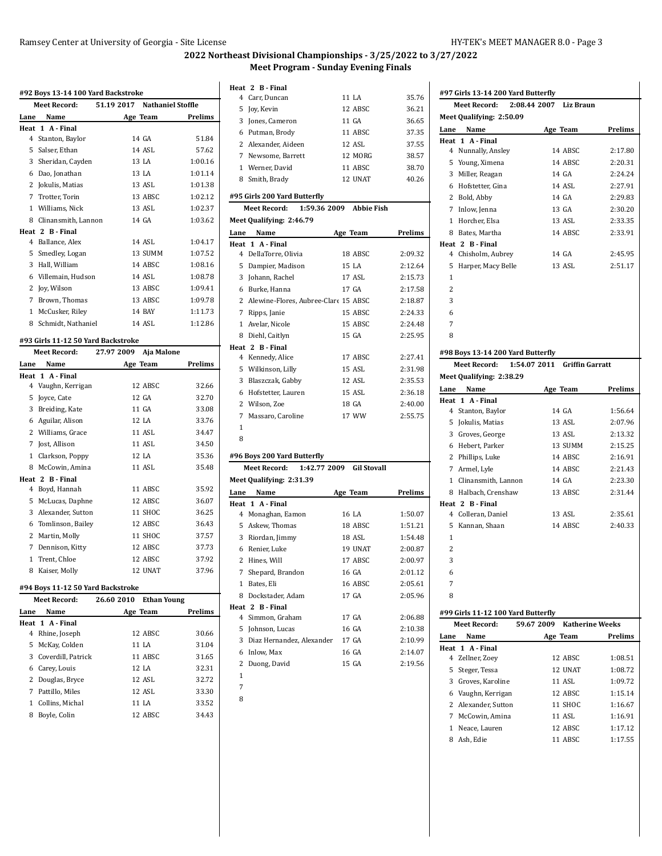$\ddot{\phantom{a}}$ 

# **2022 Northeast Divisional Championships - 3/25/2022 to 3/27/2022 Meet Program - Sunday Evening Finals**

|              | Meet Record:                       |            |          | 51.19 2017 Nathaniel Stoffle |                |
|--------------|------------------------------------|------------|----------|------------------------------|----------------|
| Lane         | Name                               |            | Age Team |                              | Prelims        |
|              | Heat 1 A - Final                   |            |          |                              |                |
|              | 4 Stanton, Baylor                  |            |          | 14 GA                        | 51.84          |
|              | 5 Salser, Ethan                    |            |          | 14 ASL                       | 57.62          |
|              | 3 Sheridan, Cayden                 |            |          | 13 LA                        | 1:00.16        |
|              | 6 Dao, Jonathan                    |            |          | 13 LA                        | 1:01.14        |
|              | 2 Jokulis, Matias                  |            |          | 13 ASL                       | 1:01.38        |
|              | 7 Trotter, Torin                   |            |          | 13 ABSC                      | 1:02.12        |
|              | 1 Williams, Nick                   |            |          | 13 ASL                       | 1:02.37        |
|              | 8 Clinansmith, Lannon              |            |          | 14 GA                        | 1:03.62        |
|              | Heat 2 B - Final                   |            |          |                              |                |
|              | 4 Ballance, Alex                   |            |          | 14 ASL                       | 1:04.17        |
|              | 5 Smedley, Logan                   |            |          | 13 SUMM                      | 1:07.52        |
|              | 3 Hall, William                    |            |          | 14 ABSC                      | 1:08.16        |
|              | 6 Villemain, Hudson                |            |          | 14 ASL                       | 1:08.78        |
|              | 2 Joy, Wilson                      |            |          | 13 ABSC                      | 1:09.41        |
|              | 7 Brown, Thomas                    |            |          | 13 ABSC                      | 1:09.78        |
|              | 1 McCusker, Riley                  |            |          | 14 BAY                       | 1:11.73        |
|              | 8 Schmidt, Nathaniel               |            |          | 14 ASL                       | 1:12.86        |
|              | #93 Girls 11-12 50 Yard Backstroke |            |          |                              |                |
|              | Meet Record:                       | 27.97 2009 |          | Aja Malone                   |                |
| Lane         | Name                               |            | Age Team |                              | <b>Prelims</b> |
| Heat         | 1 A - Final                        |            |          |                              |                |
|              | 4 Vaughn, Kerrigan                 |            |          | 12 ABSC                      | 32.66          |
| 5            | Joyce, Cate                        |            |          | 12 GA                        | 32.70          |
|              | 3 Breiding, Kate                   |            |          | 11 GA                        | 33.08          |
|              | 6 Aguilar, Alison                  |            |          | 12 LA                        | 33.76          |
|              | 2 Williams, Grace                  |            |          | <b>11 ASL</b>                | 34.47          |
|              | 7 Jost, Allison                    |            |          | 11 ASL                       | 34.50          |
| $\mathbf{1}$ | Clarkson, Poppy                    |            |          | 12 LA                        | 35.36          |
|              | 8 McCowin. Amina                   |            |          | <b>11 ASL</b>                | 35.48          |
|              | Heat 2 B - Final                   |            |          |                              |                |
|              | 4 Boyd, Hannah                     |            |          | 11 ABSC                      | 35.92          |
|              | 5 McLucas, Daphne                  |            |          | 12 ABSC                      | 36.07          |
|              | 3 Alexander, Sutton                |            |          | 11 SHOC                      | 36.25          |
| 6            | Tomlinson, Bailey                  |            |          | 12 ABSC                      | 36.43          |

### **#94 Boys 11-12 50 Yard Backstroke**

|      | <b>Meet Record:</b>  | 26.60 2010 | <b>Ethan Young</b> |         |
|------|----------------------|------------|--------------------|---------|
| Lane | Name                 |            | Age Team           | Prelims |
|      | Heat 1 A Final       |            |                    |         |
|      | 4 Rhine, Joseph      |            | 12 ABSC            | 30.66   |
|      | 5 McKay, Colden      |            | 11 LA              | 31.04   |
|      | 3 Coverdill, Patrick |            | 11 ABSC            | 31.65   |
|      | 6 Carey, Louis       |            | 12 I.A             | 32.31   |
|      | 2 Douglas, Bryce     |            | 12 ASL             | 32.72   |
|      | 7 Pattillo. Miles    |            | 12 ASL             | 33.30   |
|      | Collins. Michal      |            | 11 LA              | 33.52   |
| 8    | Boyle, Colin         |            | 12 ABSC            | 34.43   |
|      |                      |            |                    |         |

 

 Martin, Molly 11 SHOC 37.57 Dennison, Kitty 12 ABSC 37.73 Trent, Chloe 12 ABSC 37.92 Kaiser, Molly 12 UNAT 37.96

|              | Heat 2 B Final                                  |          |         |
|--------------|-------------------------------------------------|----------|---------|
|              | 4 Carr, Duncan                                  | 11 LA    | 35.76   |
|              | 5 Joy, Kevin                                    | 12 ABSC  | 36.21   |
|              | 3 Jones, Cameron                                | 11 GA    | 36.65   |
|              | 6 Putman, Brody                                 | 11 ABSC  | 37.35   |
|              | 2 Alexander, Aideen                             | 12 ASL   | 37.55   |
|              | 7 Newsome, Barrett                              | 12 MORG  | 38.57   |
|              | 1 Werner, David                                 | 11 ABSC  | 38.70   |
|              | 8 Smith, Brady                                  | 12 UNAT  | 40.26   |
|              | #95 Girls 200 Yard Butterfly                    |          |         |
|              | Meet Record: 1:59.36 2009 Abbie Fish            |          |         |
|              | Meet Qualifying: 2:46.79                        |          |         |
|              | Lane Name                                       | Age Team | Prelims |
|              | Heat 1 A Final                                  |          |         |
|              | 4 DellaTorre, Olivia                            | 18 ABSC  | 2:09.32 |
|              | 5 Dampier, Madison                              | 15 LA    | 2:12.64 |
|              | 3 Johann, Rachel                                | 17 ASL   | 2:15.73 |
|              | 6 Burke, Hanna                                  | 17 GA    | 2:17.58 |
|              | 2 Alewine-Flores, Aubree-Clare 15 ABSC          |          | 2:18.87 |
|              | 7 Ripps, Janie                                  | 15 ABSC  | 2:24.33 |
|              | 1 Avelar, Nicole                                | 15 ABSC  | 2:24.48 |
|              | 8 Diehl, Caitlyn                                | 15 GA    | 2:25.95 |
|              | Heat 2 B - Final                                |          |         |
|              | 4 Kennedy, Alice                                | 17 ABSC  | 2:27.41 |
|              | 5 Wilkinson, Lilly                              | 15 ASL   | 2:31.98 |
|              | 3 Blaszczak, Gabby                              | 12 ASL   | 2:35.53 |
|              | 6 Hofstetter, Lauren                            | 15 ASL   | 2:36.18 |
|              | 2 Wilson, Zoe                                   | 18 GA    | 2:40.00 |
|              | 7 Massaro, Caroline                             | 17 WW    | 2:55.75 |
| 1            |                                                 |          |         |
| 8            |                                                 |          |         |
|              |                                                 |          |         |
|              | #96 Boys 200 Yard Butterfly                     |          |         |
|              | 1:42.77 2009 Gil Stovall<br><b>Meet Record:</b> |          |         |
|              | Meet Qualifying: 2:31.39                        |          |         |
|              | Lane Name                                       | Age Team | Prelims |
|              | Heat 1 A Final                                  |          |         |
|              | 4 Monaghan, Eamon                               | 16 LA    | 1:50.07 |
|              | 5 Askew, Thomas                                 | 18 ABSC  | 1:51.21 |
|              | 3 Riordan, Jimmy                                | 18 ASL   | 1:54.48 |
|              | 6 Renier, Luke                                  | 19 UNAT  | 2:00.87 |
|              | 2 Hines. Will                                   | 17 ABSC  | 2:00.97 |
|              | 7 Shepard, Brandon                              | 16 GA    | 2:01.12 |
| $\mathbf{1}$ | Bates, Eli                                      | 16 ABSC  | 2:05.61 |
| 8            | Dockstader, Adam                                | 17 GA    | 2:05.96 |
|              | Heat 2 B-Final                                  |          |         |
|              | 4 Simmon, Graham                                | 17 GA    | 2:06.88 |
|              | 5 Johnson, Lucas                                | 16 GA    | 2:10.38 |
|              | 3 Diaz Hernandez, Alexander                     | 17 GA    | 2:10.99 |
|              | 6 Inlow, Max                                    | 16 GA    | 2:14.07 |
|              | 2 Duong, David                                  | 15 GA    | 2:19.56 |

|              | #97 Girls 13-14 200 Yard Butterfly        |                                      |         |  |  |
|--------------|-------------------------------------------|--------------------------------------|---------|--|--|
|              | Meet Record:                              | 2:08.44 2007 Liz Braun               |         |  |  |
|              | Meet Qualifying: 2:50.09                  |                                      |         |  |  |
| Lane         | Name                                      | Age Team                             | Prelims |  |  |
|              | Heat 1 A - Final                          |                                      |         |  |  |
|              | 4 Nunnally, Ansley                        | 14 ABSC                              | 2:17.80 |  |  |
|              | 5 Young, Ximena                           | 14 ABSC                              | 2:20.31 |  |  |
|              | 3 Miller, Reagan                          | 14 GA                                | 2:24.24 |  |  |
|              | 6 Hofstetter, Gina                        | 14 ASL                               | 2:27.91 |  |  |
|              | 2 Bold, Abby                              | 14 GA                                | 2:29.83 |  |  |
|              | 7 Inlow, Jenna                            | 13 GA                                | 2:30.20 |  |  |
|              | 1 Horcher, Elsa                           | 13 ASL                               | 2:33.35 |  |  |
|              | 8 Bates, Martha                           | 14 ABSC                              | 2:33.91 |  |  |
|              | Heat 2 B - Final                          |                                      |         |  |  |
|              | 4 Chisholm, Aubrey                        | 14 GA                                | 2:45.95 |  |  |
| 5            | Harper, Macy Belle                        | 13 ASL                               | 2:51.17 |  |  |
| $\mathbf{1}$ |                                           |                                      |         |  |  |
| 2            |                                           |                                      |         |  |  |
| 3            |                                           |                                      |         |  |  |
| 6            |                                           |                                      |         |  |  |
| 7            |                                           |                                      |         |  |  |
| 8            |                                           |                                      |         |  |  |
|              |                                           |                                      |         |  |  |
|              | #98 Boys 13-14 200 Yard Butterfly         |                                      |         |  |  |
|              | Meet Record: 1:54.07 2011 Griffin Garratt |                                      |         |  |  |
|              | Meet Qualifying: 2:38.29                  |                                      |         |  |  |
| Lane         | Name                                      | Age Team                             | Prelims |  |  |
|              | Heat 1 A - Final                          |                                      |         |  |  |
|              | 4 Stanton, Baylor                         | 14 GA                                | 1:56.64 |  |  |
|              | 5 Jokulis, Matias                         | 13 ASL                               | 2:07.96 |  |  |
|              | 3 Groves, George                          | 13 ASL                               | 2:13.32 |  |  |
|              | 6 Hebert, Parker                          | 13 SUMM                              | 2:15.25 |  |  |
|              | 2 Phillips, Luke                          | 14 ABSC                              | 2:16.91 |  |  |
|              | 7 Armel, Lyle                             | 14 ABSC                              | 2:21.43 |  |  |
|              | 1 Clinansmith, Lannon                     |                                      |         |  |  |
|              |                                           | 14 GA                                | 2:23.30 |  |  |
|              | 8 Halbach, Crenshaw                       | 13 ABSC                              | 2:31.44 |  |  |
|              | Heat 2 B - Final                          |                                      |         |  |  |
|              | 4 Colleran, Daniel                        | 13 ASL                               | 2:35.61 |  |  |
|              | 5 Kannan, Shaan                           | 14 ABSC                              | 2:40.33 |  |  |
| $\mathbf{1}$ |                                           |                                      |         |  |  |
| 2            |                                           |                                      |         |  |  |
| 3            |                                           |                                      |         |  |  |
| 6            |                                           |                                      |         |  |  |
| 7            |                                           |                                      |         |  |  |
|              |                                           |                                      |         |  |  |
| 8            |                                           |                                      |         |  |  |
|              | #99 Girls 11-12 100 Yard Butterfly        |                                      |         |  |  |
|              | <b>Meet Record:</b>                       | <b>Katherine Weeks</b><br>59.67 2009 |         |  |  |
| Lane         | Name                                      | Age Team                             | Prelims |  |  |
| Heat         | 1 A - Final                               |                                      |         |  |  |
|              | 4 Zellner, Zoey                           | 12 ABSC                              | 1:08.51 |  |  |
| 5            | Steger, Tessa                             | 12 UNAT                              | 1:08.72 |  |  |
|              | 3 Groves, Karoline                        | 11 ASL                               | 1:09.72 |  |  |
|              | 6 Vaughn, Kerrigan                        | 12 ABSC                              | 1:15.14 |  |  |
|              | 2 Alexander, Sutton                       | 11 SHOC                              | 1:16.67 |  |  |
|              | 7 McCowin, Amina                          | 11 ASL                               | 1:16.91 |  |  |
|              | 1 Neace, Lauren                           | 12 ABSC                              | 1:17.12 |  |  |
|              | 8 Ash, Edie                               | 11 ABSC                              | 1:17.55 |  |  |
|              |                                           |                                      |         |  |  |